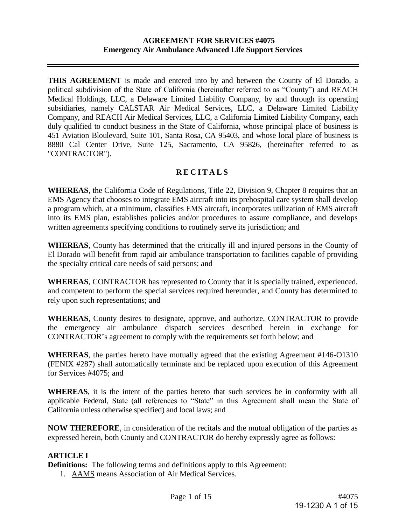**THIS AGREEMENT** is made and entered into by and between the County of El Dorado, a political subdivision of the State of California (hereinafter referred to as "County") and REACH Medical Holdings, LLC, a Delaware Limited Liability Company, by and through its operating subsidiaries, namely CALSTAR Air Medical Services, LLC, a Delaware Limited Liability Company, and REACH Air Medical Services, LLC, a California Limited Liability Company, each duly qualified to conduct business in the State of California, whose principal place of business is 451 Aviation Bloulevard, Suite 101, Santa Rosa, CA 95403, and whose local place of business is 8880 Cal Center Drive, Suite 125, Sacramento, CA 95826, (hereinafter referred to as "CONTRACTOR").

# **R E C I T A L S**

**WHEREAS**, the California Code of Regulations, Title 22, Division 9, Chapter 8 requires that an EMS Agency that chooses to integrate EMS aircraft into its prehospital care system shall develop a program which, at a minimum, classifies EMS aircraft, incorporates utilization of EMS aircraft into its EMS plan, establishes policies and/or procedures to assure compliance, and develops written agreements specifying conditions to routinely serve its jurisdiction; and

**WHEREAS**, County has determined that the critically ill and injured persons in the County of El Dorado will benefit from rapid air ambulance transportation to facilities capable of providing the specialty critical care needs of said persons; and

**WHEREAS**, CONTRACTOR has represented to County that it is specially trained, experienced, and competent to perform the special services required hereunder, and County has determined to rely upon such representations; and

**WHEREAS**, County desires to designate, approve, and authorize, CONTRACTOR to provide the emergency air ambulance dispatch services described herein in exchange for CONTRACTOR's agreement to comply with the requirements set forth below; and

**WHEREAS**, the parties hereto have mutually agreed that the existing Agreement #146-O1310 (FENIX #287) shall automatically terminate and be replaced upon execution of this Agreement for Services #4075; and

**WHEREAS**, it is the intent of the parties hereto that such services be in conformity with all applicable Federal, State (all references to "State" in this Agreement shall mean the State of California unless otherwise specified) and local laws; and

**NOW THEREFORE**, in consideration of the recitals and the mutual obligation of the parties as expressed herein, both County and CONTRACTOR do hereby expressly agree as follows:

# **ARTICLE I**

**Definitions:** The following terms and definitions apply to this Agreement:

1. AAMS means Association of Air Medical Services.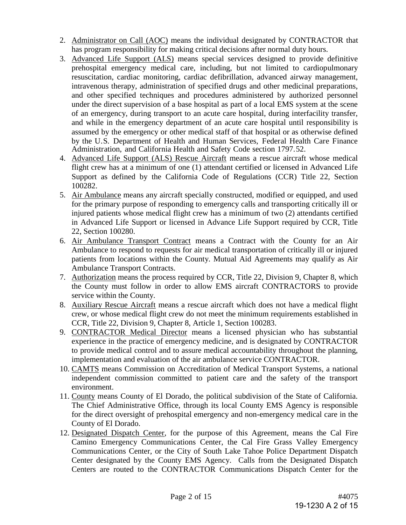- 2. Administrator on Call (AOC) means the individual designated by CONTRACTOR that has program responsibility for making critical decisions after normal duty hours.
- 3. Advanced Life Support (ALS) means special services designed to provide definitive prehospital emergency medical care, including, but not limited to cardiopulmonary resuscitation, cardiac monitoring, cardiac defibrillation, advanced airway management, intravenous therapy, administration of specified drugs and other medicinal preparations, and other specified techniques and procedures administered by authorized personnel under the direct supervision of a base hospital as part of a local EMS system at the scene of an emergency, during transport to an acute care hospital, during interfacility transfer, and while in the emergency department of an acute care hospital until responsibility is assumed by the emergency or other medical staff of that hospital or as otherwise defined by the U.S. Department of Health and Human Services, Federal Health Care Finance Administration, and California Health and Safety Code section 1797.52.
- 4. Advanced Life Support (ALS) Rescue Aircraft means a rescue aircraft whose medical flight crew has at a minimum of one (1) attendant certified or licensed in Advanced Life Support as defined by the California Code of Regulations (CCR) Title 22, Section 100282.
- 5. Air Ambulance means any aircraft specially constructed, modified or equipped, and used for the primary purpose of responding to emergency calls and transporting critically ill or injured patients whose medical flight crew has a minimum of two (2) attendants certified in Advanced Life Support or licensed in Advance Life Support required by CCR, Title 22, Section 100280.
- 6. Air Ambulance Transport Contract means a Contract with the County for an Air Ambulance to respond to requests for air medical transportation of critically ill or injured patients from locations within the County. Mutual Aid Agreements may qualify as Air Ambulance Transport Contracts.
- 7. Authorization means the process required by CCR, Title 22, Division 9, Chapter 8, which the County must follow in order to allow EMS aircraft CONTRACTORS to provide service within the County.
- 8. Auxiliary Rescue Aircraft means a rescue aircraft which does not have a medical flight crew, or whose medical flight crew do not meet the minimum requirements established in CCR, Title 22, Division 9, Chapter 8, Article 1, Section 100283.
- 9. CONTRACTOR Medical Director means a licensed physician who has substantial experience in the practice of emergency medicine, and is designated by CONTRACTOR to provide medical control and to assure medical accountability throughout the planning, implementation and evaluation of the air ambulance service CONTRACTOR.
- 10. CAMTS means Commission on Accreditation of Medical Transport Systems, a national independent commission committed to patient care and the safety of the transport environment.
- 11. County means County of El Dorado, the political subdivision of the State of California. The Chief Administrative Office, through its local County EMS Agency is responsible for the direct oversight of prehospital emergency and non-emergency medical care in the County of El Dorado.
- 12. Designated Dispatch Center, for the purpose of this Agreement, means the Cal Fire Camino Emergency Communications Center, the Cal Fire Grass Valley Emergency Communications Center, or the City of South Lake Tahoe Police Department Dispatch Center designated by the County EMS Agency. Calls from the Designated Dispatch Centers are routed to the CONTRACTOR Communications Dispatch Center for the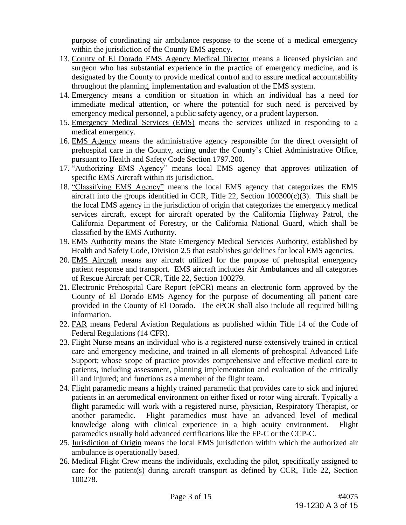purpose of coordinating air ambulance response to the scene of a medical emergency within the jurisdiction of the County EMS agency.

- 13. County of El Dorado EMS Agency Medical Director means a licensed physician and surgeon who has substantial experience in the practice of emergency medicine, and is designated by the County to provide medical control and to assure medical accountability throughout the planning, implementation and evaluation of the EMS system.
- 14. Emergency means a condition or situation in which an individual has a need for immediate medical attention, or where the potential for such need is perceived by emergency medical personnel, a public safety agency, or a prudent layperson.
- 15. Emergency Medical Services (EMS) means the services utilized in responding to a medical emergency.
- 16. EMS Agency means the administrative agency responsible for the direct oversight of prehospital care in the County, acting under the County's Chief Administrative Office, pursuant to Health and Safety Code Section 1797.200.
- 17. "Authorizing EMS Agency" means local EMS agency that approves utilization of specific EMS Aircraft within its jurisdiction.
- 18. "Classifying EMS Agency" means the local EMS agency that categorizes the EMS aircraft into the groups identified in CCR, Title 22, Section  $100300(c)(3)$ . This shall be the local EMS agency in the jurisdiction of origin that categorizes the emergency medical services aircraft, except for aircraft operated by the California Highway Patrol, the California Department of Forestry, or the California National Guard, which shall be classified by the EMS Authority.
- 19. EMS Authority means the State Emergency Medical Services Authority, established by Health and Safety Code, Division 2.5 that establishes guidelines for local EMS agencies.
- 20. EMS Aircraft means any aircraft utilized for the purpose of prehospital emergency patient response and transport. EMS aircraft includes Air Ambulances and all categories of Rescue Aircraft per CCR, Title 22, Section 100279.
- 21. Electronic Prehospital Care Report (ePCR) means an electronic form approved by the County of El Dorado EMS Agency for the purpose of documenting all patient care provided in the County of El Dorado. The ePCR shall also include all required billing information.
- 22. FAR means Federal Aviation Regulations as published within Title 14 of the Code of Federal Regulations (14 CFR).
- 23. Flight Nurse means an individual who is a registered nurse extensively trained in critical care and emergency medicine, and trained in all elements of prehospital Advanced Life Support; whose scope of practice provides comprehensive and effective medical care to patients, including assessment, planning implementation and evaluation of the critically ill and injured; and functions as a member of the flight team.
- 24. Flight paramedic means a highly trained paramedic that provides care to sick and injured patients in an aeromedical environment on either fixed or rotor wing aircraft. Typically a flight paramedic will work with a registered nurse, physician, Respiratory Therapist, or another paramedic. Flight paramedics must have an advanced level of medical knowledge along with clinical experience in a high acuity environment. Flight paramedics usually hold advanced certifications like the FP-C or the CCP-C.
- 25. Jurisdiction of Origin means the local EMS jurisdiction within which the authorized air ambulance is operationally based.
- 26. Medical Flight Crew means the individuals, excluding the pilot, specifically assigned to care for the patient(s) during aircraft transport as defined by CCR, Title 22, Section 100278.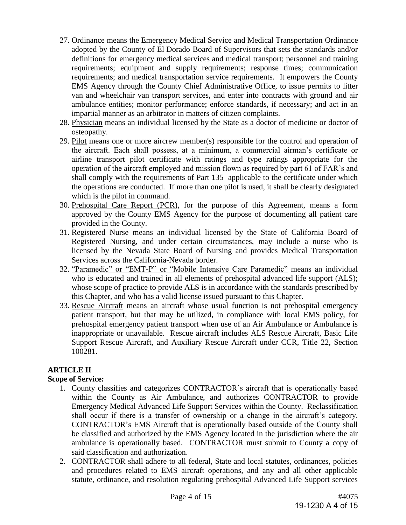- 27. Ordinance means the Emergency Medical Service and Medical Transportation Ordinance adopted by the County of El Dorado Board of Supervisors that sets the standards and/or definitions for emergency medical services and medical transport; personnel and training requirements; equipment and supply requirements; response times; communication requirements; and medical transportation service requirements. It empowers the County EMS Agency through the County Chief Administrative Office, to issue permits to litter van and wheelchair van transport services, and enter into contracts with ground and air ambulance entities; monitor performance; enforce standards, if necessary; and act in an impartial manner as an arbitrator in matters of citizen complaints.
- 28. Physician means an individual licensed by the State as a doctor of medicine or doctor of osteopathy.
- 29. Pilot means one or more aircrew member(s) responsible for the control and operation of the aircraft. Each shall possess, at a minimum, a commercial airman's certificate or airline transport pilot certificate with ratings and type ratings appropriate for the operation of the aircraft employed and mission flown as required by part 61 of FAR's and shall comply with the requirements of Part 135 applicable to the certificate under which the operations are conducted. If more than one pilot is used, it shall be clearly designated which is the pilot in command.
- 30. Prehospital Care Report (PCR), for the purpose of this Agreement, means a form approved by the County EMS Agency for the purpose of documenting all patient care provided in the County.
- 31. Registered Nurse means an individual licensed by the State of California Board of Registered Nursing, and under certain circumstances, may include a nurse who is licensed by the Nevada State Board of Nursing and provides Medical Transportation Services across the California-Nevada border.
- 32. "Paramedic" or "EMT-P" or "Mobile Intensive Care Paramedic" means an individual who is educated and trained in all elements of prehospital advanced life support (ALS): whose scope of practice to provide ALS is in accordance with the standards prescribed by this Chapter, and who has a valid license issued pursuant to this Chapter.
- 33. Rescue Aircraft means an aircraft whose usual function is not prehospital emergency patient transport, but that may be utilized, in compliance with local EMS policy, for prehospital emergency patient transport when use of an Air Ambulance or Ambulance is inappropriate or unavailable. Rescue aircraft includes ALS Rescue Aircraft, Basic Life Support Rescue Aircraft, and Auxiliary Rescue Aircraft under CCR, Title 22, Section 100281.

# **ARTICLE II**

# **Scope of Service:**

- 1. County classifies and categorizes CONTRACTOR's aircraft that is operationally based within the County as Air Ambulance, and authorizes CONTRACTOR to provide Emergency Medical Advanced Life Support Services within the County. Reclassification shall occur if there is a transfer of ownership or a change in the aircraft's category. CONTRACTOR's EMS Aircraft that is operationally based outside of the County shall be classified and authorized by the EMS Agency located in the jurisdiction where the air ambulance is operationally based. CONTRACTOR must submit to County a copy of said classification and authorization.
- 2. CONTRACTOR shall adhere to all federal, State and local statutes, ordinances, policies and procedures related to EMS aircraft operations, and any and all other applicable statute, ordinance, and resolution regulating prehospital Advanced Life Support services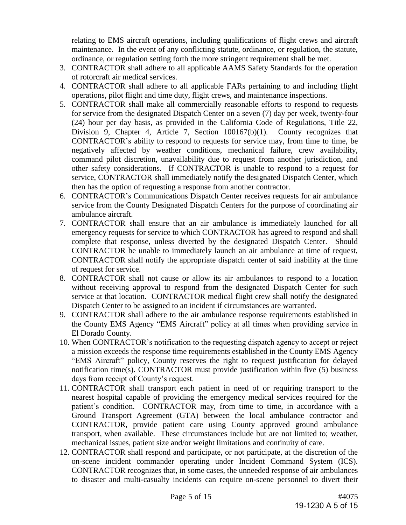relating to EMS aircraft operations, including qualifications of flight crews and aircraft maintenance. In the event of any conflicting statute, ordinance, or regulation, the statute, ordinance, or regulation setting forth the more stringent requirement shall be met.

- 3. CONTRACTOR shall adhere to all applicable AAMS Safety Standards for the operation of rotorcraft air medical services.
- 4. CONTRACTOR shall adhere to all applicable FARs pertaining to and including flight operations, pilot flight and time duty, flight crews, and maintenance inspections.
- 5. CONTRACTOR shall make all commercially reasonable efforts to respond to requests for service from the designated Dispatch Center on a seven (7) day per week, twenty-four (24) hour per day basis, as provided in the California Code of Regulations, Title 22, Division 9, Chapter 4, Article 7, Section  $100167(b)(1)$ . County recognizes that CONTRACTOR's ability to respond to requests for service may, from time to time, be negatively affected by weather conditions, mechanical failure, crew availability, command pilot discretion, unavailability due to request from another jurisdiction, and other safety considerations. If CONTRACTOR is unable to respond to a request for service, CONTRACTOR shall immediately notify the designated Dispatch Center, which then has the option of requesting a response from another contractor.
- 6. CONTRACTOR's Communications Dispatch Center receives requests for air ambulance service from the County Designated Dispatch Centers for the purpose of coordinating air ambulance aircraft.
- 7. CONTRACTOR shall ensure that an air ambulance is immediately launched for all emergency requests for service to which CONTRACTOR has agreed to respond and shall complete that response, unless diverted by the designated Dispatch Center. Should CONTRACTOR be unable to immediately launch an air ambulance at time of request, CONTRACTOR shall notify the appropriate dispatch center of said inability at the time of request for service.
- 8. CONTRACTOR shall not cause or allow its air ambulances to respond to a location without receiving approval to respond from the designated Dispatch Center for such service at that location. CONTRACTOR medical flight crew shall notify the designated Dispatch Center to be assigned to an incident if circumstances are warranted.
- 9. CONTRACTOR shall adhere to the air ambulance response requirements established in the County EMS Agency "EMS Aircraft" policy at all times when providing service in El Dorado County.
- 10. When CONTRACTOR's notification to the requesting dispatch agency to accept or reject a mission exceeds the response time requirements established in the County EMS Agency "EMS Aircraft" policy, County reserves the right to request justification for delayed notification time(s). CONTRACTOR must provide justification within five (5) business days from receipt of County's request.
- 11. CONTRACTOR shall transport each patient in need of or requiring transport to the nearest hospital capable of providing the emergency medical services required for the patient's condition. CONTRACTOR may, from time to time, in accordance with a Ground Transport Agreement (GTA) between the local ambulance contractor and CONTRACTOR, provide patient care using County approved ground ambulance transport, when available. These circumstances include but are not limited to; weather, mechanical issues, patient size and/or weight limitations and continuity of care.
- 12. CONTRACTOR shall respond and participate, or not participate, at the discretion of the on-scene incident commander operating under Incident Command System (ICS). CONTRACTOR recognizes that, in some cases, the unneeded response of air ambulances to disaster and multi-casualty incidents can require on-scene personnel to divert their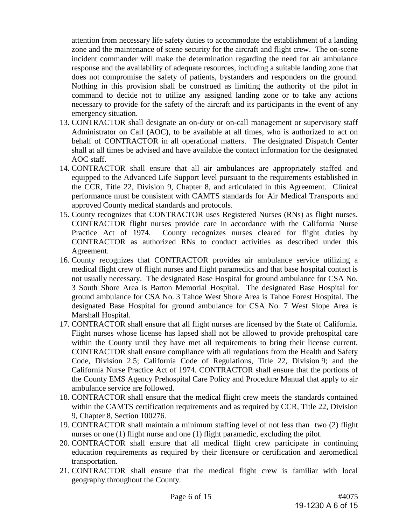attention from necessary life safety duties to accommodate the establishment of a landing zone and the maintenance of scene security for the aircraft and flight crew. The on-scene incident commander will make the determination regarding the need for air ambulance response and the availability of adequate resources, including a suitable landing zone that does not compromise the safety of patients, bystanders and responders on the ground. Nothing in this provision shall be construed as limiting the authority of the pilot in command to decide not to utilize any assigned landing zone or to take any actions necessary to provide for the safety of the aircraft and its participants in the event of any emergency situation.

- 13. CONTRACTOR shall designate an on-duty or on-call management or supervisory staff Administrator on Call (AOC), to be available at all times, who is authorized to act on behalf of CONTRACTOR in all operational matters. The designated Dispatch Center shall at all times be advised and have available the contact information for the designated AOC staff.
- 14. CONTRACTOR shall ensure that all air ambulances are appropriately staffed and equipped to the Advanced Life Support level pursuant to the requirements established in the CCR, Title 22, Division 9, Chapter 8, and articulated in this Agreement. Clinical performance must be consistent with CAMTS standards for Air Medical Transports and approved County medical standards and protocols.
- 15. County recognizes that CONTRACTOR uses Registered Nurses (RNs) as flight nurses. CONTRACTOR flight nurses provide care in accordance with the California Nurse Practice Act of 1974. County recognizes nurses cleared for flight duties by CONTRACTOR as authorized RNs to conduct activities as described under this Agreement.
- 16. County recognizes that CONTRACTOR provides air ambulance service utilizing a medical flight crew of flight nurses and flight paramedics and that base hospital contact is not usually necessary. The designated Base Hospital for ground ambulance for CSA No. 3 South Shore Area is Barton Memorial Hospital. The designated Base Hospital for ground ambulance for CSA No. 3 Tahoe West Shore Area is Tahoe Forest Hospital. The designated Base Hospital for ground ambulance for CSA No. 7 West Slope Area is Marshall Hospital.
- 17. CONTRACTOR shall ensure that all flight nurses are licensed by the State of California. Flight nurses whose license has lapsed shall not be allowed to provide prehospital care within the County until they have met all requirements to bring their license current. CONTRACTOR shall ensure compliance with all regulations from the Health and Safety Code, Division 2.5; California Code of Regulations, Title 22, Division 9; and the California Nurse Practice Act of 1974. CONTRACTOR shall ensure that the portions of the County EMS Agency Prehospital Care Policy and Procedure Manual that apply to air ambulance service are followed.
- 18. CONTRACTOR shall ensure that the medical flight crew meets the standards contained within the CAMTS certification requirements and as required by CCR, Title 22, Division 9, Chapter 8, Section 100276.
- 19. CONTRACTOR shall maintain a minimum staffing level of not less than two (2) flight nurses or one (1) flight nurse and one (1) flight paramedic, excluding the pilot.
- 20. CONTRACTOR shall ensure that all medical flight crew participate in continuing education requirements as required by their licensure or certification and aeromedical transportation.
- 21. CONTRACTOR shall ensure that the medical flight crew is familiar with local geography throughout the County.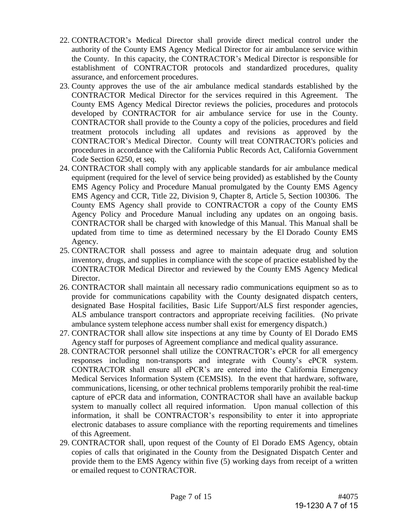- 22. CONTRACTOR's Medical Director shall provide direct medical control under the authority of the County EMS Agency Medical Director for air ambulance service within the County. In this capacity, the CONTRACTOR's Medical Director is responsible for establishment of CONTRACTOR protocols and standardized procedures, quality assurance, and enforcement procedures.
- 23. County approves the use of the air ambulance medical standards established by the CONTRACTOR Medical Director for the services required in this Agreement. The County EMS Agency Medical Director reviews the policies, procedures and protocols developed by CONTRACTOR for air ambulance service for use in the County. CONTRACTOR shall provide to the County a copy of the policies, procedures and field treatment protocols including all updates and revisions as approved by the CONTRACTOR's Medical Director. County will treat CONTRACTOR's policies and procedures in accordance with the California Public Records Act, California Government Code Section 6250, et seq.
- 24. CONTRACTOR shall comply with any applicable standards for air ambulance medical equipment (required for the level of service being provided) as established by the County EMS Agency Policy and Procedure Manual promulgated by the County EMS Agency EMS Agency and CCR, Title 22, Division 9, Chapter 8, Article 5, Section 100306. The County EMS Agency shall provide to CONTRACTOR a copy of the County EMS Agency Policy and Procedure Manual including any updates on an ongoing basis. CONTRACTOR shall be charged with knowledge of this Manual. This Manual shall be updated from time to time as determined necessary by the El Dorado County EMS Agency.
- 25. CONTRACTOR shall possess and agree to maintain adequate drug and solution inventory, drugs, and supplies in compliance with the scope of practice established by the CONTRACTOR Medical Director and reviewed by the County EMS Agency Medical Director.
- 26. CONTRACTOR shall maintain all necessary radio communications equipment so as to provide for communications capability with the County designated dispatch centers, designated Base Hospital facilities, Basic Life Support/ALS first responder agencies, ALS ambulance transport contractors and appropriate receiving facilities. (No private ambulance system telephone access number shall exist for emergency dispatch.)
- 27. CONTRACTOR shall allow site inspections at any time by County of El Dorado EMS Agency staff for purposes of Agreement compliance and medical quality assurance.
- 28. CONTRACTOR personnel shall utilize the CONTRACTOR's ePCR for all emergency responses including non-transports and integrate with County's ePCR system. CONTRACTOR shall ensure all ePCR's are entered into the California Emergency Medical Services Information System (CEMSIS). In the event that hardware, software, communications, licensing, or other technical problems temporarily prohibit the real-time capture of ePCR data and information, CONTRACTOR shall have an available backup system to manually collect all required information. Upon manual collection of this information, it shall be CONTRACTOR's responsibility to enter it into appropriate electronic databases to assure compliance with the reporting requirements and timelines of this Agreement.
- 29. CONTRACTOR shall, upon request of the County of El Dorado EMS Agency, obtain copies of calls that originated in the County from the Designated Dispatch Center and provide them to the EMS Agency within five (5) working days from receipt of a written or emailed request to CONTRACTOR.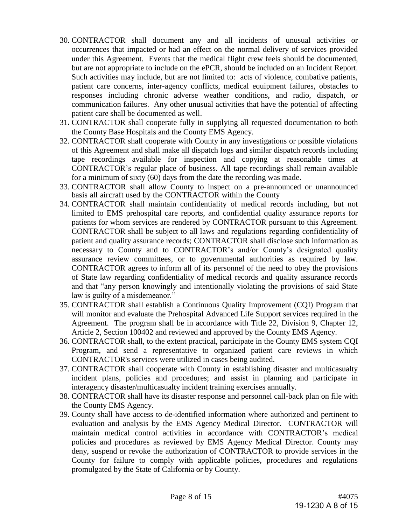- 30. CONTRACTOR shall document any and all incidents of unusual activities or occurrences that impacted or had an effect on the normal delivery of services provided under this Agreement. Events that the medical flight crew feels should be documented, but are not appropriate to include on the ePCR, should be included on an Incident Report. Such activities may include, but are not limited to: acts of violence, combative patients, patient care concerns, inter-agency conflicts, medical equipment failures, obstacles to responses including chronic adverse weather conditions, and radio, dispatch, or communication failures. Any other unusual activities that have the potential of affecting patient care shall be documented as well.
- 31**.** CONTRACTOR shall cooperate fully in supplying all requested documentation to both the County Base Hospitals and the County EMS Agency.
- 32. CONTRACTOR shall cooperate with County in any investigations or possible violations of this Agreement and shall make all dispatch logs and similar dispatch records including tape recordings available for inspection and copying at reasonable times at CONTRACTOR's regular place of business. All tape recordings shall remain available for a minimum of sixty (60) days from the date the recording was made.
- 33. CONTRACTOR shall allow County to inspect on a pre-announced or unannounced basis all aircraft used by the CONTRACTOR within the County
- 34. CONTRACTOR shall maintain confidentiality of medical records including, but not limited to EMS prehospital care reports, and confidential quality assurance reports for patients for whom services are rendered by CONTRACTOR pursuant to this Agreement. CONTRACTOR shall be subject to all laws and regulations regarding confidentiality of patient and quality assurance records; CONTRACTOR shall disclose such information as necessary to County and to CONTRACTOR's and/or County's designated quality assurance review committees, or to governmental authorities as required by law. CONTRACTOR agrees to inform all of its personnel of the need to obey the provisions of State law regarding confidentiality of medical records and quality assurance records and that "any person knowingly and intentionally violating the provisions of said State law is guilty of a misdemeanor."
- 35. CONTRACTOR shall establish a Continuous Quality Improvement (CQI) Program that will monitor and evaluate the Prehospital Advanced Life Support services required in the Agreement. The program shall be in accordance with Title 22, Division 9, Chapter 12, Article 2, Section 100402 and reviewed and approved by the County EMS Agency.
- 36. CONTRACTOR shall, to the extent practical, participate in the County EMS system CQI Program, and send a representative to organized patient care reviews in which CONTRACTOR's services were utilized in cases being audited.
- 37. CONTRACTOR shall cooperate with County in establishing disaster and multicasualty incident plans, policies and procedures; and assist in planning and participate in interagency disaster/multicasualty incident training exercises annually.
- 38. CONTRACTOR shall have its disaster response and personnel call-back plan on file with the County EMS Agency.
- 39. County shall have access to de-identified information where authorized and pertinent to evaluation and analysis by the EMS Agency Medical Director. CONTRACTOR will maintain medical control activities in accordance with CONTRACTOR's medical policies and procedures as reviewed by EMS Agency Medical Director. County may deny, suspend or revoke the authorization of CONTRACTOR to provide services in the County for failure to comply with applicable policies, procedures and regulations promulgated by the State of California or by County.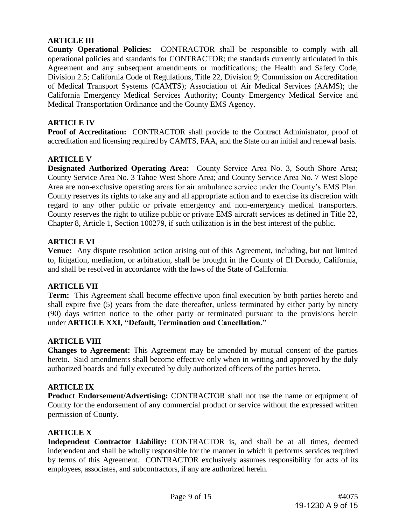# **ARTICLE III**

**County Operational Policies:** CONTRACTOR shall be responsible to comply with all operational policies and standards for CONTRACTOR; the standards currently articulated in this Agreement and any subsequent amendments or modifications; the Health and Safety Code, Division 2.5; California Code of Regulations, Title 22, Division 9; Commission on Accreditation of Medical Transport Systems (CAMTS); Association of Air Medical Services (AAMS); the California Emergency Medical Services Authority; County Emergency Medical Service and Medical Transportation Ordinance and the County EMS Agency.

## **ARTICLE IV**

**Proof of Accreditation:** CONTRACTOR shall provide to the Contract Administrator, proof of accreditation and licensing required by CAMTS, FAA, and the State on an initial and renewal basis.

## **ARTICLE V**

**Designated Authorized Operating Area:** County Service Area No. 3, South Shore Area; County Service Area No. 3 Tahoe West Shore Area; and County Service Area No. 7 West Slope Area are non-exclusive operating areas for air ambulance service under the County's EMS Plan. County reserves its rights to take any and all appropriate action and to exercise its discretion with regard to any other public or private emergency and non-emergency medical transporters. County reserves the right to utilize public or private EMS aircraft services as defined in Title 22, Chapter 8, Article 1, Section 100279, if such utilization is in the best interest of the public.

## **ARTICLE VI**

**Venue:** Any dispute resolution action arising out of this Agreement, including, but not limited to, litigation, mediation, or arbitration, shall be brought in the County of El Dorado, California, and shall be resolved in accordance with the laws of the State of California.

# **ARTICLE VII**

**Term:** This Agreement shall become effective upon final execution by both parties hereto and shall expire five (5) years from the date thereafter, unless terminated by either party by ninety (90) days written notice to the other party or terminated pursuant to the provisions herein under **ARTICLE XXI, "Default, Termination and Cancellation."**

#### **ARTICLE VIII**

**Changes to Agreement:** This Agreement may be amended by mutual consent of the parties hereto. Said amendments shall become effective only when in writing and approved by the duly authorized boards and fully executed by duly authorized officers of the parties hereto.

#### **ARTICLE IX**

**Product Endorsement/Advertising:** CONTRACTOR shall not use the name or equipment of County for the endorsement of any commercial product or service without the expressed written permission of County.

#### **ARTICLE X**

**Independent Contractor Liability:** CONTRACTOR is, and shall be at all times, deemed independent and shall be wholly responsible for the manner in which it performs services required by terms of this Agreement. CONTRACTOR exclusively assumes responsibility for acts of its employees, associates, and subcontractors, if any are authorized herein.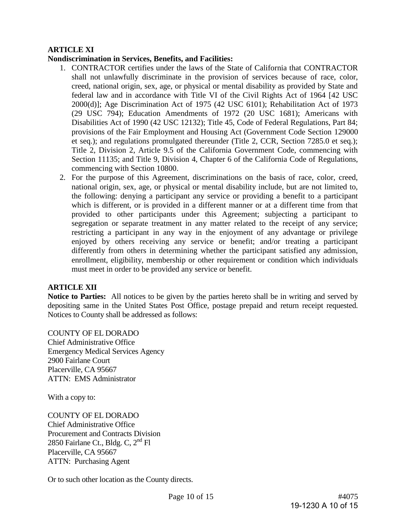# **ARTICLE XI**

## **Nondiscrimination in Services, Benefits, and Facilities:**

- 1. CONTRACTOR certifies under the laws of the State of California that CONTRACTOR shall not unlawfully discriminate in the provision of services because of race, color, creed, national origin, sex, age, or physical or mental disability as provided by State and federal law and in accordance with Title VI of the Civil Rights Act of 1964 [42 USC 2000(d)]; Age Discrimination Act of 1975 (42 USC 6101); Rehabilitation Act of 1973 (29 USC 794); Education Amendments of 1972 (20 USC 1681); Americans with Disabilities Act of 1990 (42 USC 12132); Title 45, Code of Federal Regulations, Part 84; provisions of the Fair Employment and Housing Act (Government Code Section 129000 et seq.); and regulations promulgated thereunder (Title 2, CCR, Section 7285.0 et seq.); Title 2, Division 2, Article 9.5 of the California Government Code, commencing with Section 11135; and Title 9, Division 4, Chapter 6 of the California Code of Regulations, commencing with Section 10800.
- 2. For the purpose of this Agreement, discriminations on the basis of race, color, creed, national origin, sex, age, or physical or mental disability include, but are not limited to, the following: denying a participant any service or providing a benefit to a participant which is different, or is provided in a different manner or at a different time from that provided to other participants under this Agreement; subjecting a participant to segregation or separate treatment in any matter related to the receipt of any service; restricting a participant in any way in the enjoyment of any advantage or privilege enjoyed by others receiving any service or benefit; and/or treating a participant differently from others in determining whether the participant satisfied any admission, enrollment, eligibility, membership or other requirement or condition which individuals must meet in order to be provided any service or benefit.

### **ARTICLE XII**

**Notice to Parties:** All notices to be given by the parties hereto shall be in writing and served by depositing same in the United States Post Office, postage prepaid and return receipt requested. Notices to County shall be addressed as follows:

COUNTY OF EL DORADO

Chief Administrative Office Emergency Medical Services Agency 2900 Fairlane Court Placerville, CA 95667 ATTN: EMS Administrator

With a copy to:

COUNTY OF EL DORADO Chief Administrative Office Procurement and Contracts Division 2850 Fairlane Ct., Bldg. C,  $2<sup>nd</sup>$  Fl Placerville, CA 95667 ATTN: Purchasing Agent

Or to such other location as the County directs.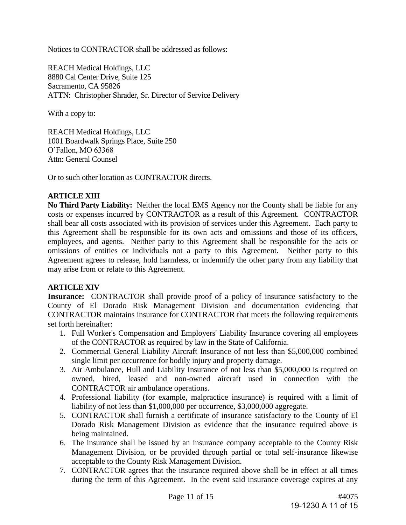Notices to CONTRACTOR shall be addressed as follows:

REACH Medical Holdings, LLC 8880 Cal Center Drive, Suite 125 Sacramento, CA 95826 ATTN: Christopher Shrader, Sr. Director of Service Delivery

With a copy to:

REACH Medical Holdings, LLC 1001 Boardwalk Springs Place, Suite 250 O'Fallon, MO 63368 Attn: General Counsel

Or to such other location as CONTRACTOR directs.

# **ARTICLE XIII**

**No Third Party Liability:** Neither the local EMS Agency nor the County shall be liable for any costs or expenses incurred by CONTRACTOR as a result of this Agreement. CONTRACTOR shall bear all costs associated with its provision of services under this Agreement. Each party to this Agreement shall be responsible for its own acts and omissions and those of its officers, employees, and agents. Neither party to this Agreement shall be responsible for the acts or omissions of entities or individuals not a party to this Agreement. Neither party to this Agreement agrees to release, hold harmless, or indemnify the other party from any liability that may arise from or relate to this Agreement.

#### **ARTICLE XIV**

**Insurance:** CONTRACTOR shall provide proof of a policy of insurance satisfactory to the County of El Dorado Risk Management Division and documentation evidencing that CONTRACTOR maintains insurance for CONTRACTOR that meets the following requirements set forth hereinafter:

- 1. Full Worker's Compensation and Employers' Liability Insurance covering all employees of the CONTRACTOR as required by law in the State of California.
- 2. Commercial General Liability Aircraft Insurance of not less than \$5,000,000 combined single limit per occurrence for bodily injury and property damage.
- 3. Air Ambulance, Hull and Liability Insurance of not less than \$5,000,000 is required on owned, hired, leased and non-owned aircraft used in connection with the CONTRACTOR air ambulance operations.
- 4. Professional liability (for example, malpractice insurance) is required with a limit of liability of not less than \$1,000,000 per occurrence, \$3,000,000 aggregate.
- 5. CONTRACTOR shall furnish a certificate of insurance satisfactory to the County of El Dorado Risk Management Division as evidence that the insurance required above is being maintained.
- 6. The insurance shall be issued by an insurance company acceptable to the County Risk Management Division, or be provided through partial or total self-insurance likewise acceptable to the County Risk Management Division.
- 7. CONTRACTOR agrees that the insurance required above shall be in effect at all times during the term of this Agreement. In the event said insurance coverage expires at any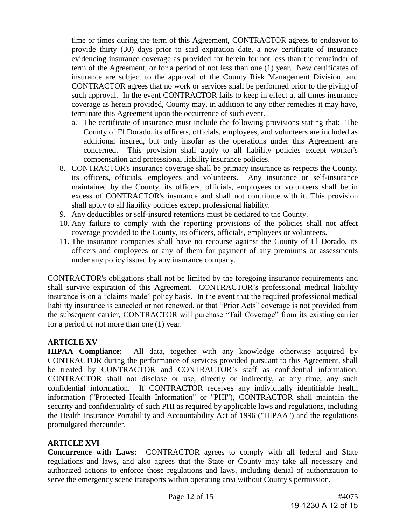time or times during the term of this Agreement, CONTRACTOR agrees to endeavor to provide thirty (30) days prior to said expiration date, a new certificate of insurance evidencing insurance coverage as provided for herein for not less than the remainder of term of the Agreement, or for a period of not less than one (1) year. New certificates of insurance are subject to the approval of the County Risk Management Division, and CONTRACTOR agrees that no work or services shall be performed prior to the giving of such approval. In the event CONTRACTOR fails to keep in effect at all times insurance coverage as herein provided, County may, in addition to any other remedies it may have, terminate this Agreement upon the occurrence of such event.

- a. The certificate of insurance must include the following provisions stating that: The County of El Dorado, its officers, officials, employees, and volunteers are included as additional insured, but only insofar as the operations under this Agreement are concerned. This provision shall apply to all liability policies except worker's compensation and professional liability insurance policies.
- 8. CONTRACTOR's insurance coverage shall be primary insurance as respects the County, its officers, officials, employees and volunteers. Any insurance or self-insurance maintained by the County, its officers, officials, employees or volunteers shall be in excess of CONTRACTOR's insurance and shall not contribute with it. This provision shall apply to all liability policies except professional liability.
- 9. Any deductibles or self-insured retentions must be declared to the County.
- 10. Any failure to comply with the reporting provisions of the policies shall not affect coverage provided to the County, its officers, officials, employees or volunteers.
- 11. The insurance companies shall have no recourse against the County of El Dorado, its officers and employees or any of them for payment of any premiums or assessments under any policy issued by any insurance company.

CONTRACTOR's obligations shall not be limited by the foregoing insurance requirements and shall survive expiration of this Agreement. CONTRACTOR's professional medical liability insurance is on a "claims made" policy basis. In the event that the required professional medical liability insurance is canceled or not renewed, or that "Prior Acts" coverage is not provided from the subsequent carrier, CONTRACTOR will purchase "Tail Coverage" from its existing carrier for a period of not more than one (1) year.

#### **ARTICLE XV**

**HIPAA Compliance**: All data, together with any knowledge otherwise acquired by CONTRACTOR during the performance of services provided pursuant to this Agreement, shall be treated by CONTRACTOR and CONTRACTOR's staff as confidential information. CONTRACTOR shall not disclose or use, directly or indirectly, at any time, any such confidential information. If CONTRACTOR receives any individually identifiable health information ("Protected Health Information" or "PHI"), CONTRACTOR shall maintain the security and confidentiality of such PHI as required by applicable laws and regulations, including the Health Insurance Portability and Accountability Act of 1996 ("HIPAA") and the regulations promulgated thereunder.

# **ARTICLE XVI**

**Concurrence with Laws:** CONTRACTOR agrees to comply with all federal and State regulations and laws, and also agrees that the State or County may take all necessary and authorized actions to enforce those regulations and laws, including denial of authorization to serve the emergency scene transports within operating area without County's permission.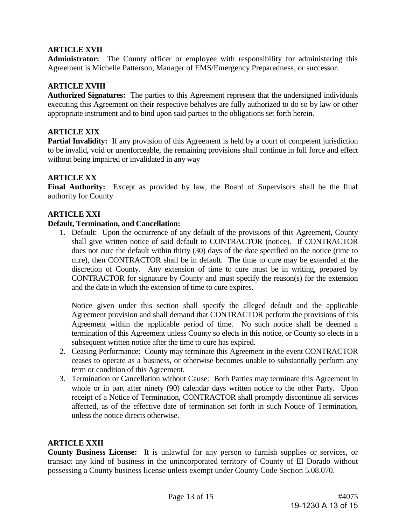# **ARTICLE XVII**

**Administrator:** The County officer or employee with responsibility for administering this Agreement is Michelle Patterson, Manager of EMS/Emergency Preparedness, or successor.

# **ARTICLE XVIII**

**Authorized Signatures:** The parties to this Agreement represent that the undersigned individuals executing this Agreement on their respective behalves are fully authorized to do so by law or other appropriate instrument and to bind upon said parties to the obligations set forth herein.

## **ARTICLE XIX**

**Partial Invalidity:** If any provision of this Agreement is held by a court of competent jurisdiction to be invalid, void or unenforceable, the remaining provisions shall continue in full force and effect without being impaired or invalidated in any way

## **ARTICLE XX**

**Final Authority:** Except as provided by law, the Board of Supervisors shall be the final authority for County

## **ARTICLE XXI**

#### **Default, Termination, and Cancellation:**

1. Default: Upon the occurrence of any default of the provisions of this Agreement, County shall give written notice of said default to CONTRACTOR (notice). If CONTRACTOR does not cure the default within thirty (30) days of the date specified on the notice (time to cure), then CONTRACTOR shall be in default. The time to cure may be extended at the discretion of County. Any extension of time to cure must be in writing, prepared by CONTRACTOR for signature by County and must specify the reason(s) for the extension and the date in which the extension of time to cure expires.

Notice given under this section shall specify the alleged default and the applicable Agreement provision and shall demand that CONTRACTOR perform the provisions of this Agreement within the applicable period of time. No such notice shall be deemed a termination of this Agreement unless County so elects in this notice, or County so elects in a subsequent written notice after the time to cure has expired.

- 2. Ceasing Performance: County may terminate this Agreement in the event CONTRACTOR ceases to operate as a business, or otherwise becomes unable to substantially perform any term or condition of this Agreement.
- 3. Termination or Cancellation without Cause: Both Parties may terminate this Agreement in whole or in part after ninety (90) calendar days written notice to the other Party. Upon receipt of a Notice of Termination, CONTRACTOR shall promptly discontinue all services affected, as of the effective date of termination set forth in such Notice of Termination, unless the notice directs otherwise.

#### **ARTICLE XXII**

**County Business License:** It is unlawful for any person to furnish supplies or services, or transact any kind of business in the unincorporated territory of County of El Dorado without possessing a County business license unless exempt under County Code Section 5.08.070.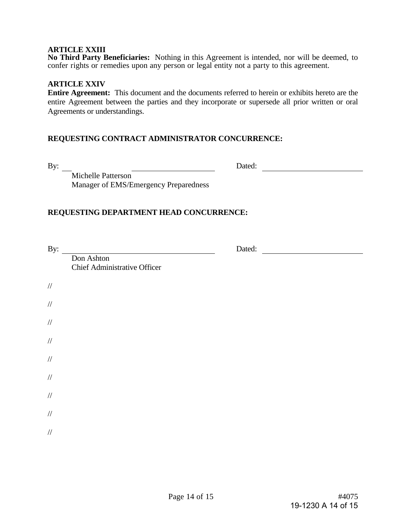#### **ARTICLE XXIII**

**No Third Party Beneficiaries:** Nothing in this Agreement is intended, nor will be deemed, to confer rights or remedies upon any person or legal entity not a party to this agreement.

## **ARTICLE XXIV**

**Entire Agreement:** This document and the documents referred to herein or exhibits hereto are the entire Agreement between the parties and they incorporate or supersede all prior written or oral Agreements or understandings.

## **REQUESTING CONTRACT ADMINISTRATOR CONCURRENCE:**

By: Dated:

Michelle Patterson Manager of EMS/Emergency Preparedness

## **REQUESTING DEPARTMENT HEAD CONCURRENCE:**

| By:    |                                                   | Dated: |  |
|--------|---------------------------------------------------|--------|--|
|        | Don Ashton<br><b>Chief Administrative Officer</b> |        |  |
|        |                                                   |        |  |
| $/\!/$ |                                                   |        |  |
| $/\!/$ |                                                   |        |  |
| $/\!/$ |                                                   |        |  |
| $/\!/$ |                                                   |        |  |
| $/\!/$ |                                                   |        |  |
| $/\!/$ |                                                   |        |  |
| $/\!/$ |                                                   |        |  |
| $/\!/$ |                                                   |        |  |
| $/\!/$ |                                                   |        |  |
|        |                                                   |        |  |